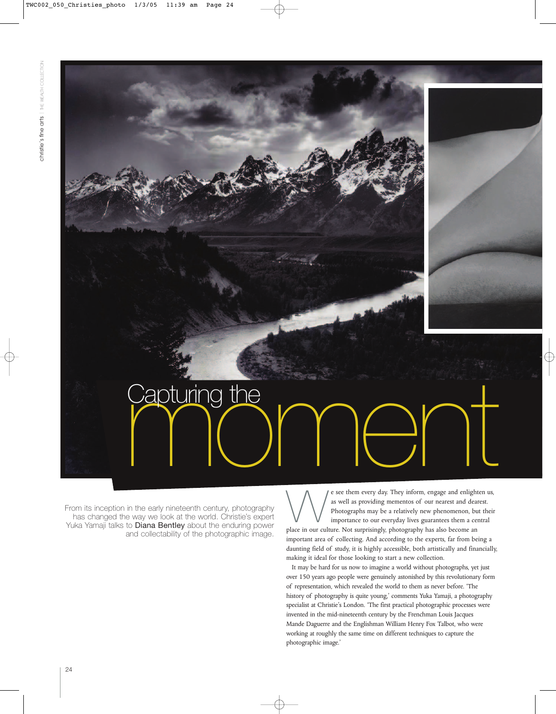From its inception in the early nineteenth century, photography has changed the way we look at the world. Christie's expert Yuka Yamaji talks to **Diana Bentley** about the enduring power and collectability of the photographic image.

e see them every day. They inform, engage and enlighten us,<br>as well as providing mementos of our nearest and dearest.<br>Photographs may be a relatively new phenomenon, but their<br>importance to our everyday lives guarantees th as well as providing mementos of our nearest and dearest. Photographs may be a relatively new phenomenon, but their importance to our everyday lives guarantees them a central important area of collecting. And according to the experts, far from being a daunting field of study, it is highly accessible, both artistically and financially, making it ideal for those looking to start a new collection. Capturing the **CAPT** 

It may be hard for us now to imagine a world without photographs, yet just over 150 years ago people were genuinely astonished by this revolutionary form of representation, which revealed the world to them as never before. 'The history of photography is quite young,' comments Yuka Yamaji, a photography specialist at Christie's London. 'The first practical photographic processes were invented in the mid-nineteenth century by the Frenchman Louis Jacques Mande Daguerre and the Englishman William Henry Fox Talbot, who were working at roughly the same time on different techniques to capture the photographic image.'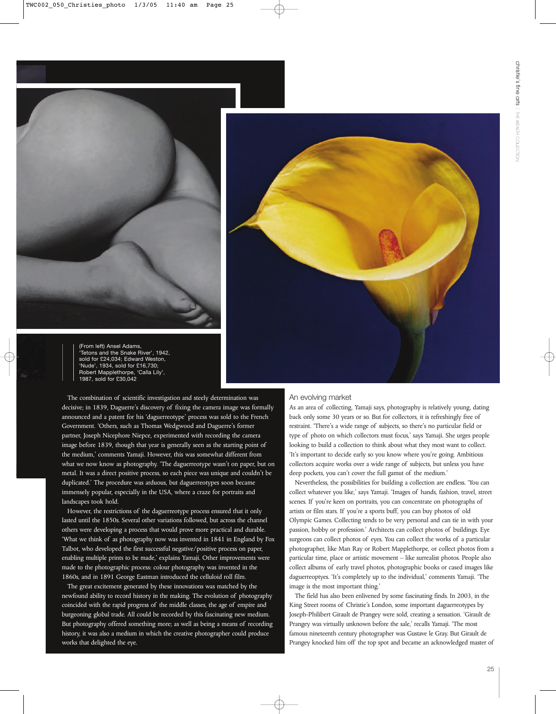



(From left) Ansel Adams, 'Tetons and the Snake River', 1942, sold for £24,034; Edward Weston, 'Nude', 1934, sold for £16,730; Robert Mapplethorpe, 'Calla Lily', 1987, sold for £30,042

The combination of scientific investigation and steely determination was decisive; in 1839, Daguerre's discovery of fixing the camera image was formally announced and a patent for his 'daguerreotype' process was sold to the French Government. 'Others, such as Thomas Wedgwood and Daguerre's former partner, Joseph Nicephore Niepce, experimented with recording the camera image before 1839, though that year is generally seen as the starting point of the medium,' comments Yamaji. However, this was somewhat different from what we now know as photography. 'The daguerreotype wasn't on paper, but on metal. It was a direct positive process, so each piece was unique and couldn't be duplicated.' The procedure was arduous, but daguerreotypes soon became immensely popular, especially in the USA, where a craze for portraits and landscapes took hold.

However, the restrictions of the daguerreotype process ensured that it only lasted until the 1850s. Several other variations followed, but across the channel others were developing a process that would prove more practical and durable. 'What we think of as photography now was invented in 1841 in England by Fox Talbot, who developed the first successful negative/positive process on paper, enabling multiple prints to be made,' explains Yamaji. Other improvements were made to the photographic process: colour photography was invented in the 1860s, and in 1891 George Eastman introduced the celluloid roll film.

The great excitement generated by these innovations was matched by the newfound ability to record history in the making. The evolution of photography coincided with the rapid progress of the middle classes, the age of empire and burgeoning global trade. All could be recorded by this fascinating new medium. But photography offered something more; as well as being a means of recording history, it was also a medium in which the creative photographer could produce works that delighted the eye.

## An evolving market

As an area of collecting, Yamaji says, photography is relatively young, dating back only some 30 years or so. But for collectors, it is refreshingly free of restraint. 'There's a wide range of subjects, so there's no particular field or type of photo on which collectors must focus,' says Yamaji. She urges people looking to build a collection to think about what they most want to collect. 'It's important to decide early so you know where you're going. Ambitious collectors acquire works over a wide range of subjects, but unless you have deep pockets, you can't cover the full gamut of the medium.'

Nevertheless, the possibilities for building a collection are endless. 'You can collect whatever you like,' says Yamaji. 'Images of hands, fashion, travel, street scenes. If you're keen on portraits, you can concentrate on photographs of artists or film stars. If you're a sports buff, you can buy photos of old Olympic Games. Collecting tends to be very personal and can tie in with your passion, hobby or profession.' Architects can collect photos of buildings. Eye surgeons can collect photos of eyes. You can collect the works of a particular photographer, like Man Ray or Robert Mapplethorpe, or collect photos from a particular time, place or artistic movement – like surrealist photos. People also collect albums of early travel photos, photographic books or cased images like daguerreoptyes. 'It's completely up to the individual,' comments Yamaji. 'The image is the most important thing.'

The field has also been enlivened by some fascinating finds. In 2003, in the King Street rooms of Christie's London, some important daguerreotypes by Joseph-Philibert Girault de Prangey were sold, creating a sensation. 'Girault de Prangey was virtually unknown before the sale,' recalls Yamaji. 'The most famous nineteenth century photographer was Gustave le Gray. But Girault de Prangey knocked him off the top spot and became an acknowledged master of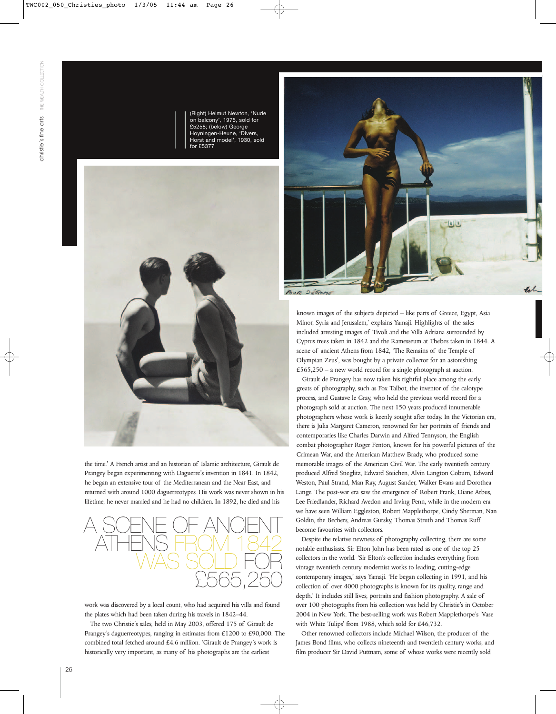(Right) Helmut Newton, 'Nude on balcony', 1975, sold for £5258; (below) George Hoyningen-Heune, 'Divers, Horst and model', 1930, sold for £5377



the time.' A French artist and an historian of Islamic architecture, Girault de Prangey began experimenting with Daguerre's invention in 1841. In 1842, he began an extensive tour of the Mediterranean and the Near East, and returned with around 1000 daguerreotypes. His work was never shown in his lifetime, he never married and he had no children. In 1892, he died and his



work was discovered by a local count, who had acquired his villa and found the plates which had been taken during his travels in 1842–44.

The two Christie's sales, held in May 2003, offered 175 of Girault de Prangey's daguerreotypes, ranging in estimates from £1200 to £90,000. The combined total fetched around £4.6 million. 'Girault de Prangey's work is historically very important, as many of his photographs are the earliest



POUR DEPOME

known images of the subjects depicted – like parts of Greece, Egypt, Asia Minor, Syria and Jerusalem,' explains Yamaji. Highlights of the sales included arresting images of Tivoli and the Villa Adriana surrounded by Cyprus trees taken in 1842 and the Ramesseum at Thebes taken in 1844. A scene of ancient Athens from 1842, 'The Remains of the Temple of Olympian Zeus', was bought by a private collector for an astonishing £565,250 – a new world record for a single photograph at auction.

Girault de Prangey has now taken his rightful place among the early greats of photography, such as Fox Talbot, the inventor of the calotype process, and Gustave le Gray, who held the previous world record for a photograph sold at auction. The next 150 years produced innumerable photographers whose work is keenly sought after today. In the Victorian era, there is Julia Margaret Cameron, renowned for her portraits of friends and contemporaries like Charles Darwin and Alfred Tennyson, the English combat photographer Roger Fenton, known for his powerful pictures of the Crimean War, and the American Matthew Brady, who produced some memorable images of the American Civil War. The early twentieth century produced Alfred Stieglitz, Edward Steichen, Alvin Langton Coburn, Edward Weston, Paul Strand, Man Ray, August Sander, Walker Evans and Dorothea Lange. The post-war era saw the emergence of Robert Frank, Diane Arbus, Lee Friedlander, Richard Avedon and Irving Penn, while in the modern era we have seen William Eggleston, Robert Mapplethorpe, Cindy Sherman, Nan Goldin, the Bechers, Andreas Gursky, Thomas Struth and Thomas Ruff become favourites with collectors.

Despite the relative newness of photography collecting, there are some notable enthusiasts. Sir Elton John has been rated as one of the top 25 collectors in the world. 'Sir Elton's collection includes everything from vintage twentieth century modernist works to leading, cutting-edge contemporary images,' says Yamaji. 'He began collecting in 1991, and his collection of over 4000 photographs is known for its quality, range and depth.' It includes still lives, portraits and fashion photography. A sale of over 100 photographs from his collection was held by Christie's in October 2004 in New York. The best-selling work was Robert Mapplethorpe's 'Vase with White Tulips' from 1988, which sold for £46,732.

Other renowned collectors include Michael Wilson, the producer of the James Bond films, who collects nineteenth and twentieth century works, and film producer Sir David Puttnam, some of whose works were recently sold